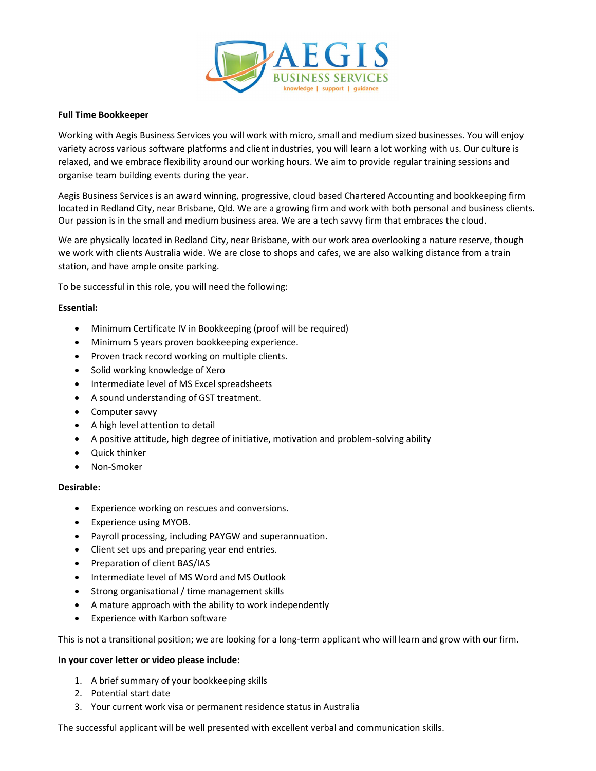

## Full Time Bookkeeper

Working with Aegis Business Services you will work with micro, small and medium sized businesses. You will enjoy variety across various software platforms and client industries, you will learn a lot working with us. Our culture is relaxed, and we embrace flexibility around our working hours. We aim to provide regular training sessions and organise team building events during the year.

Aegis Business Services is an award winning, progressive, cloud based Chartered Accounting and bookkeeping firm located in Redland City, near Brisbane, Qld. We are a growing firm and work with both personal and business clients. Our passion is in the small and medium business area. We are a tech savvy firm that embraces the cloud.

We are physically located in Redland City, near Brisbane, with our work area overlooking a nature reserve, though we work with clients Australia wide. We are close to shops and cafes, we are also walking distance from a train station, and have ample onsite parking.

To be successful in this role, you will need the following:

## Essential:

- Minimum Certificate IV in Bookkeeping (proof will be required)
- Minimum 5 years proven bookkeeping experience.
- Proven track record working on multiple clients.
- Solid working knowledge of Xero
- Intermediate level of MS Excel spreadsheets
- A sound understanding of GST treatment.
- Computer savvy
- A high level attention to detail
- A positive attitude, high degree of initiative, motivation and problem-solving ability
- Ouick thinker
- Non-Smoker

## Desirable:

- Experience working on rescues and conversions.
- Experience using MYOB.
- Payroll processing, including PAYGW and superannuation.
- Client set ups and preparing year end entries.
- Preparation of client BAS/IAS
- Intermediate level of MS Word and MS Outlook
- Strong organisational / time management skills
- A mature approach with the ability to work independently
- Experience with Karbon software

This is not a transitional position; we are looking for a long-term applicant who will learn and grow with our firm.

## In your cover letter or video please include:

- 1. A brief summary of your bookkeeping skills
- 2. Potential start date
- 3. Your current work visa or permanent residence status in Australia

The successful applicant will be well presented with excellent verbal and communication skills.